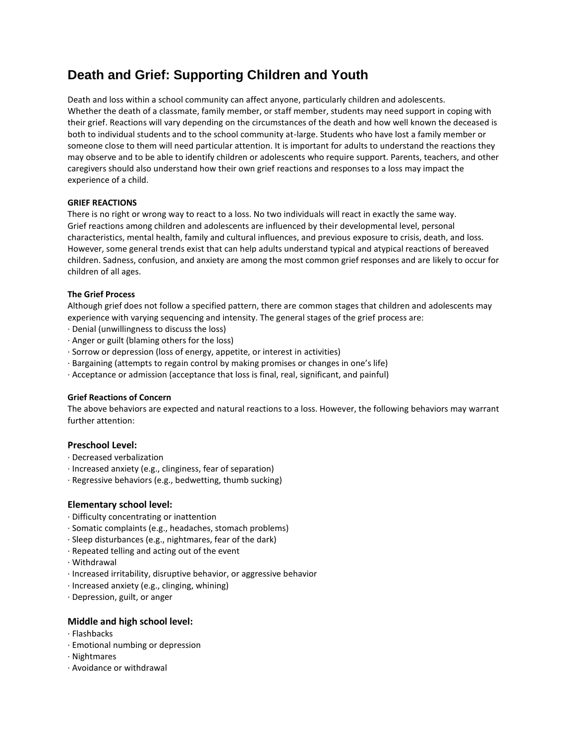# **Death and Grief: Supporting Children and Youth**

Death and loss within a school community can affect anyone, particularly children and adolescents. Whether the death of a classmate, family member, or staff member, students may need support in coping with their grief. Reactions will vary depending on the circumstances of the death and how well known the deceased is both to individual students and to the school community at-large. Students who have lost a family member or someone close to them will need particular attention. It is important for adults to understand the reactions they may observe and to be able to identify children or adolescents who require support. Parents, teachers, and other caregivers should also understand how their own grief reactions and responses to a loss may impact the experience of a child.

## **GRIEF REACTIONS**

There is no right or wrong way to react to a loss. No two individuals will react in exactly the same way. Grief reactions among children and adolescents are influenced by their developmental level, personal characteristics, mental health, family and cultural influences, and previous exposure to crisis, death, and loss. However, some general trends exist that can help adults understand typical and atypical reactions of bereaved children. Sadness, confusion, and anxiety are among the most common grief responses and are likely to occur for children of all ages.

## **The Grief Process**

Although grief does not follow a specified pattern, there are common stages that children and adolescents may experience with varying sequencing and intensity. The general stages of the grief process are:

- · Denial (unwillingness to discuss the loss)
- · Anger or guilt (blaming others for the loss)
- · Sorrow or depression (loss of energy, appetite, or interest in activities)
- · Bargaining (attempts to regain control by making promises or changes in one's life)
- · Acceptance or admission (acceptance that loss is final, real, significant, and painful)

## **Grief Reactions of Concern**

The above behaviors are expected and natural reactions to a loss. However, the following behaviors may warrant further attention:

# **Preschool Level:**

- · Decreased verbalization
- · Increased anxiety (e.g., clinginess, fear of separation)
- · Regressive behaviors (e.g., bedwetting, thumb sucking)

## **Elementary school level:**

- · Difficulty concentrating or inattention
- · Somatic complaints (e.g., headaches, stomach problems)
- · Sleep disturbances (e.g., nightmares, fear of the dark)
- · Repeated telling and acting out of the event
- · Withdrawal
- · Increased irritability, disruptive behavior, or aggressive behavior
- · Increased anxiety (e.g., clinging, whining)
- · Depression, guilt, or anger

## **Middle and high school level:**

- · Flashbacks
- · Emotional numbing or depression
- · Nightmares
- · Avoidance or withdrawal